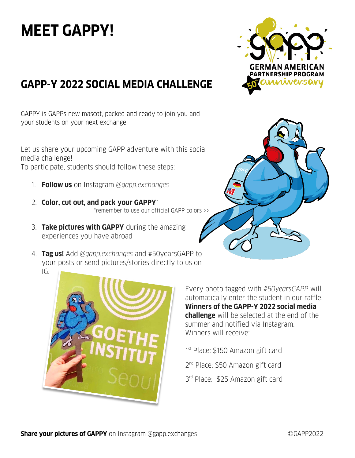### **MEET GAPPY!**

### **GAPP-Y 2022 SOCIAL MEDIA CHALLENGE**

GAPPY is GAPPs new mascot, packed and ready to join you and your students on your next exchange!

Let us share your upcoming GAPP adventure with this social media challenge! To participate, students should follow these steps:

- 1. **Follow us** on Instagram *@gapp.exchanges*
- 2. **Color, cut out, and pack your GAPPY**\* \*remember to use our official GAPP colors >>
- 3. **Take pictures with GAPPY** during the amazing experiences you have abroad
- 4. **Tag us!** Add *@gapp.exchanges* and #50yearsGAPP to your posts or send pictures/stories directly to us on







Every photo tagged with *#50yearsGAPP* will automatically enter the student in our raffle. **Winners of the GAPP-Y 2022 social media challenge** will be selected at the end of the summer and notified via Instagram. Winners will receive:

1<sup>st</sup> Place: \$150 Amazon gift card

- 2<sup>nd</sup> Place: \$50 Amazon gift card
- 3rd Place: \$25 Amazon gift card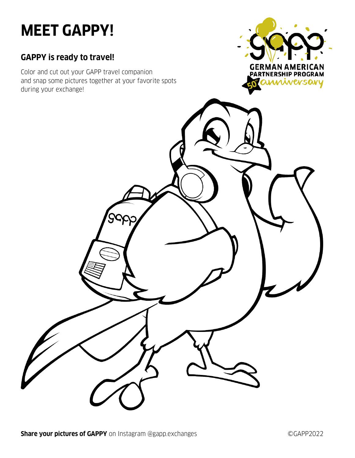# **MEET GAPPY!**

### **GAPPY is ready to travel!**

Color and cut out your GAPP travel companion and snap some pictures together at your favorite spots during your exchange!